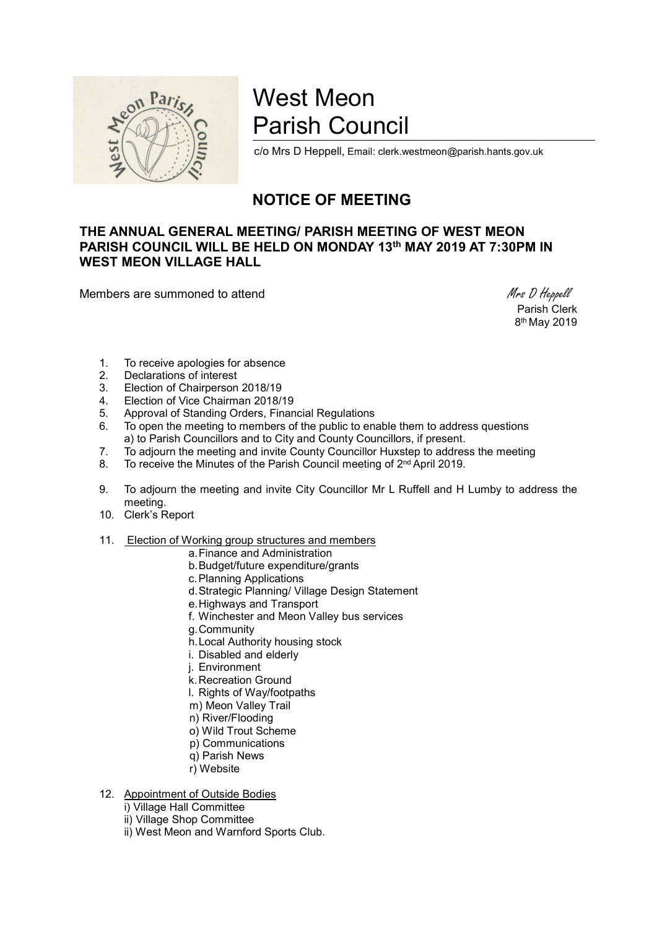

# West Meon Parish Council

c/o Mrs D Heppell, Email: clerk.westmeon@parish.hants.gov.uk

# NOTICE OF MEETING

## THE ANNUAL GENERAL MEETING/ PARISH MEETING OF WEST MEON PARISH COUNCIL WILL BE HELD ON MONDAY 13th MAY 2019 AT 7:30PM IN WEST MEON VILLAGE HALL

Members are summoned to attend Mrs D Heppell

 Parish Clerk 8 th May 2019

- 1. To receive apologies for absence
- 2. Declarations of interest
- 3. Election of Chairperson 2018/19
- 4. Election of Vice Chairman 2018/19
- 5. Approval of Standing Orders, Financial Regulations
- 6. To open the meeting to members of the public to enable them to address questions a) to Parish Councillors and to City and County Councillors, if present.
- 7. To adjourn the meeting and invite County Councillor Huxstep to address the meeting
- 8. To receive the Minutes of the Parish Council meeting of 2<sup>nd</sup> April 2019.
- 9. To adjourn the meeting and invite City Councillor Mr L Ruffell and H Lumby to address the meeting.
- 10. Clerk's Report
- 11. Election of Working group structures and members
	- a. Finance and Administration
	- b. Budget/future expenditure/grants
	- c. Planning Applications
	- d. Strategic Planning/ Village Design Statement
	- e. Highways and Transport
	- f. Winchester and Meon Valley bus services
	- g. Community
	- h. Local Authority housing stock
	- i. Disabled and elderly
	- j. Environment
	- k. Recreation Ground
	- l. Rights of Way/footpaths
	- m) Meon Valley Trail
	- n) River/Flooding
	- o) Wild Trout Scheme
	- p) Communications
	- q) Parish News
	- r) Website
- 12. Appointment of Outside Bodies
	- i) Village Hall Committee
	- ii) Village Shop Committee
	- ii) West Meon and Warnford Sports Club.